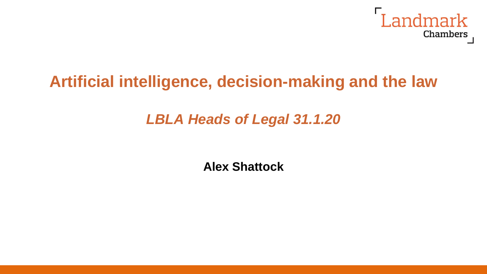

# **Artificial intelligence, decision-making and the law**

## *LBLA Heads of Legal 31.1.20*

**Alex Shattock**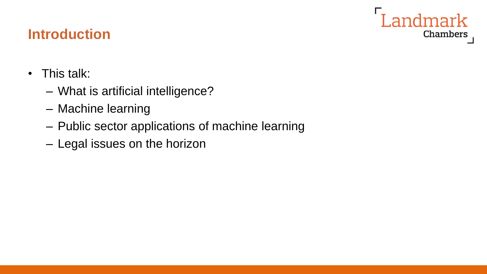## Landmark Chambers

## **Introduction**

- This talk:
	- What is artificial intelligence?
	- Machine learning
	- Public sector applications of machine learning
	- Legal issues on the horizon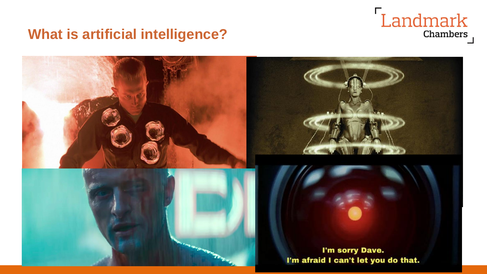## Landmark Chambers

### **What is artificial intelligence?**

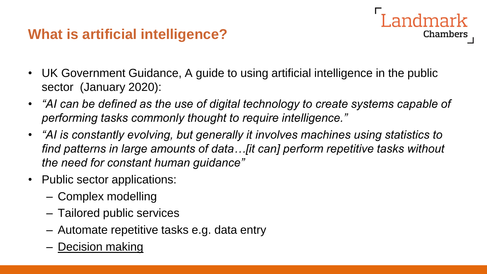## **What is artificial intelligence?**

- UK Government Guidance, A guide to using artificial intelligence in the public sector (January 2020):
- *"AI can be defined as the use of digital technology to create systems capable of performing tasks commonly thought to require intelligence."*

- *"AI is constantly evolving, but generally it involves machines using statistics to find patterns in large amounts of data…[it can] perform repetitive tasks without the need for constant human guidance"*
- Public sector applications:
	- Complex modelling
	- Tailored public services
	- Automate repetitive tasks e.g. data entry
	- Decision making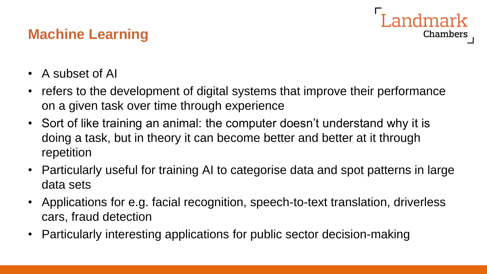## **Machine Learning**

Landmark **Chambers** 

- A subset of AI
- refers to the development of digital systems that improve their performance on a given task over time through experience
- Sort of like training an animal: the computer doesn't understand why it is doing a task, but in theory it can become better and better at it through repetition
- Particularly useful for training AI to categorise data and spot patterns in large data sets
- Applications for e.g. facial recognition, speech-to-text translation, driverless cars, fraud detection
- Particularly interesting applications for public sector decision-making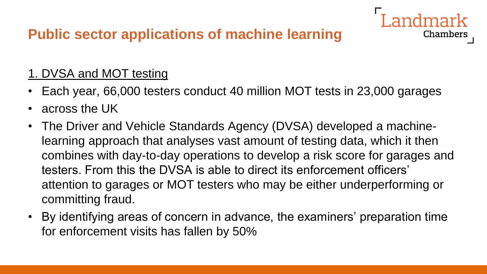## **Public sector applications of machine learning**

#### 1. DVSA and MOT testing

• Each year, 66,000 testers conduct 40 million MOT tests in 23,000 garages

- across the UK
- The Driver and Vehicle Standards Agency (DVSA) developed a machinelearning approach that analyses vast amount of testing data, which it then combines with day-to-day operations to develop a risk score for garages and testers. From this the DVSA is able to direct its enforcement officers' attention to garages or MOT testers who may be either underperforming or committing fraud.
- By identifying areas of concern in advance, the examiners' preparation time for enforcement visits has fallen by 50%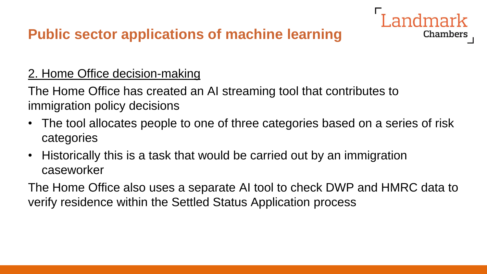## **Public sector applications of machine learning**

#### 2. Home Office decision-making

The Home Office has created an AI streaming tool that contributes to immigration policy decisions

• The tool allocates people to one of three categories based on a series of risk categories

**Chambers** 

• Historically this is a task that would be carried out by an immigration caseworker

The Home Office also uses a separate AI tool to check DWP and HMRC data to verify residence within the Settled Status Application process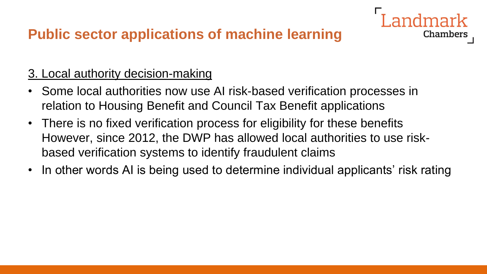### **Public sector applications of machine learning**

#### 3. Local authority decision-making

- Some local authorities now use AI risk-based verification processes in relation to Housing Benefit and Council Tax Benefit applications
- There is no fixed verification process for eligibility for these benefits However, since 2012, the DWP has allowed local authorities to use riskbased verification systems to identify fraudulent claims
- In other words AI is being used to determine individual applicants' risk rating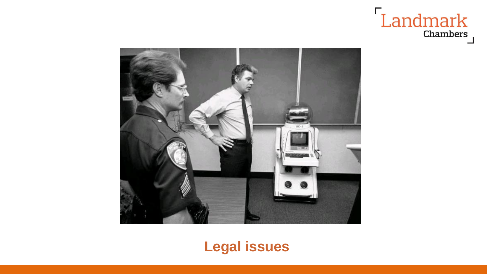



### **Legal issues**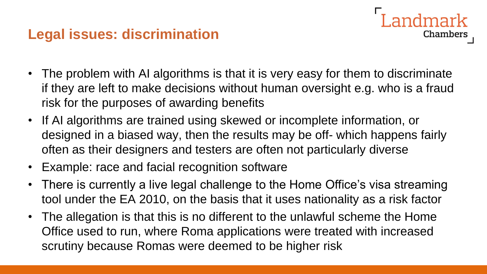#### **Legal issues: discrimination**

• The problem with AI algorithms is that it is very easy for them to discriminate if they are left to make decisions without human oversight e.g. who is a fraud risk for the purposes of awarding benefits

andmark

- If AI algorithms are trained using skewed or incomplete information, or designed in a biased way, then the results may be off- which happens fairly often as their designers and testers are often not particularly diverse
- Example: race and facial recognition software
- There is currently a live legal challenge to the Home Office's visa streaming tool under the EA 2010, on the basis that it uses nationality as a risk factor
- The allegation is that this is no different to the unlawful scheme the Home Office used to run, where Roma applications were treated with increased scrutiny because Romas were deemed to be higher risk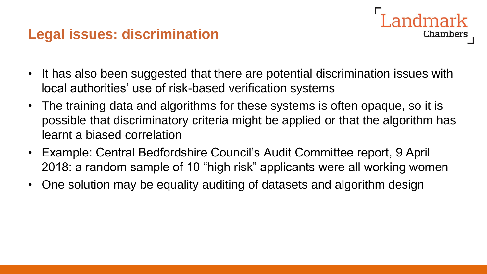#### **Legal issues: discrimination**

• It has also been suggested that there are potential discrimination issues with local authorities' use of risk-based verification systems

- The training data and algorithms for these systems is often opaque, so it is possible that discriminatory criteria might be applied or that the algorithm has learnt a biased correlation
- Example: Central Bedfordshire Council's Audit Committee report, 9 April 2018: a random sample of 10 "high risk" applicants were all working women
- One solution may be equality auditing of datasets and algorithm design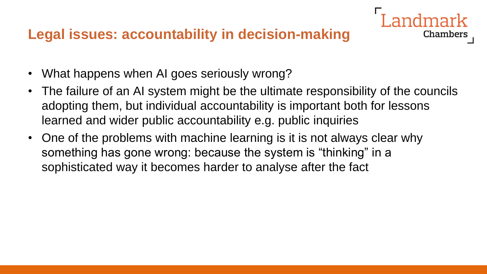#### **Legal issues: accountability in decision-making**

- What happens when AI goes seriously wrong?
- The failure of an AI system might be the ultimate responsibility of the councils adopting them, but individual accountability is important both for lessons learned and wider public accountability e.g. public inquiries

Chambers

• One of the problems with machine learning is it is not always clear why something has gone wrong: because the system is "thinking" in a sophisticated way it becomes harder to analyse after the fact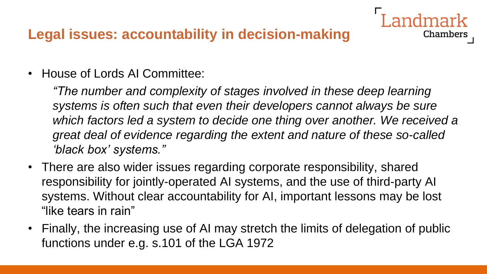### **Legal issues: accountability in decision-making**

• House of Lords AI Committee:

*"The number and complexity of stages involved in these deep learning systems is often such that even their developers cannot always be sure which factors led a system to decide one thing over another. We received a great deal of evidence regarding the extent and nature of these so-called 'black box' systems."*

- There are also wider issues regarding corporate responsibility, shared responsibility for jointly-operated AI systems, and the use of third-party AI systems. Without clear accountability for AI, important lessons may be lost "like tears in rain"
- Finally, the increasing use of AI may stretch the limits of delegation of public functions under e.g. s.101 of the LGA 1972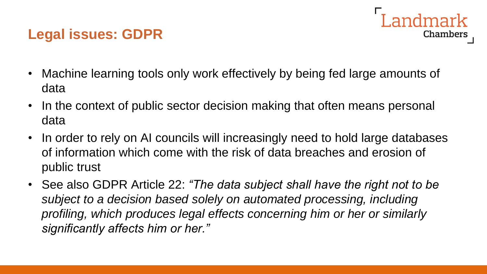## **Legal issues: GDPR**



- Machine learning tools only work effectively by being fed large amounts of data
- In the context of public sector decision making that often means personal data
- In order to rely on AI councils will increasingly need to hold large databases of information which come with the risk of data breaches and erosion of public trust
- See also GDPR Article 22: *"The data subject shall have the right not to be subject to a decision based solely on automated processing, including profiling, which produces legal effects concerning him or her or similarly significantly affects him or her."*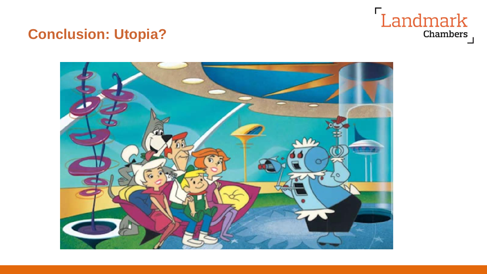# Landmark Chambers

### **Conclusion: Utopia?**

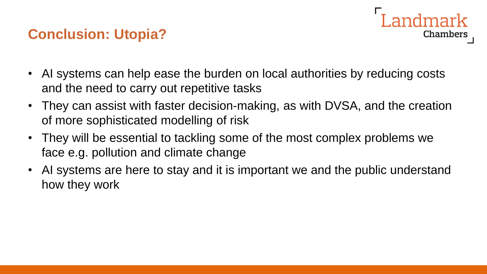### **Conclusion: Utopia?**



- AI systems can help ease the burden on local authorities by reducing costs and the need to carry out repetitive tasks
- They can assist with faster decision-making, as with DVSA, and the creation of more sophisticated modelling of risk
- They will be essential to tackling some of the most complex problems we face e.g. pollution and climate change
- AI systems are here to stay and it is important we and the public understand how they work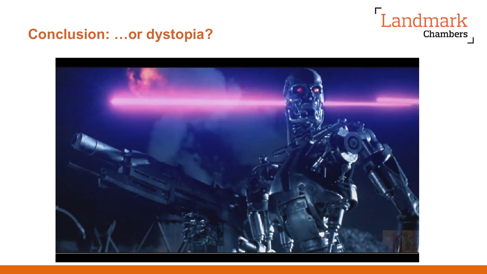

#### **Conclusion: …or dystopia?**

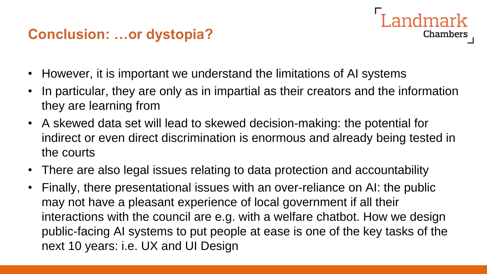### **Conclusion: …or dystopia?**



- However, it is important we understand the limitations of AI systems
- In particular, they are only as in impartial as their creators and the information they are learning from
- A skewed data set will lead to skewed decision-making: the potential for indirect or even direct discrimination is enormous and already being tested in the courts
- There are also legal issues relating to data protection and accountability
- Finally, there presentational issues with an over-reliance on AI: the public may not have a pleasant experience of local government if all their interactions with the council are e.g. with a welfare chatbot. How we design public-facing AI systems to put people at ease is one of the key tasks of the next 10 years: i.e. UX and UI Design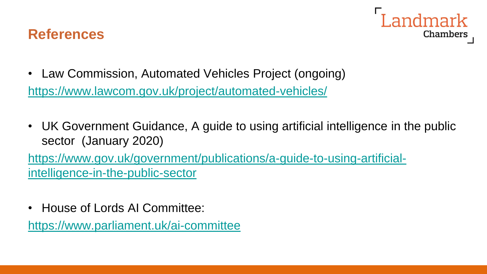



- Law Commission, Automated Vehicles Project (ongoing) <https://www.lawcom.gov.uk/project/automated-vehicles/>
- UK Government Guidance, A guide to using artificial intelligence in the public sector (January 2020)

[https://www.gov.uk/government/publications/a-guide-to-using-artificial](https://www.gov.uk/government/publications/a-guide-to-using-artificial-intelligence-in-the-public-sector)[intelligence-in-the-public-sector](https://www.gov.uk/government/publications/a-guide-to-using-artificial-intelligence-in-the-public-sector)

• House of Lords AI Committee:

<https://www.parliament.uk/ai-committee>